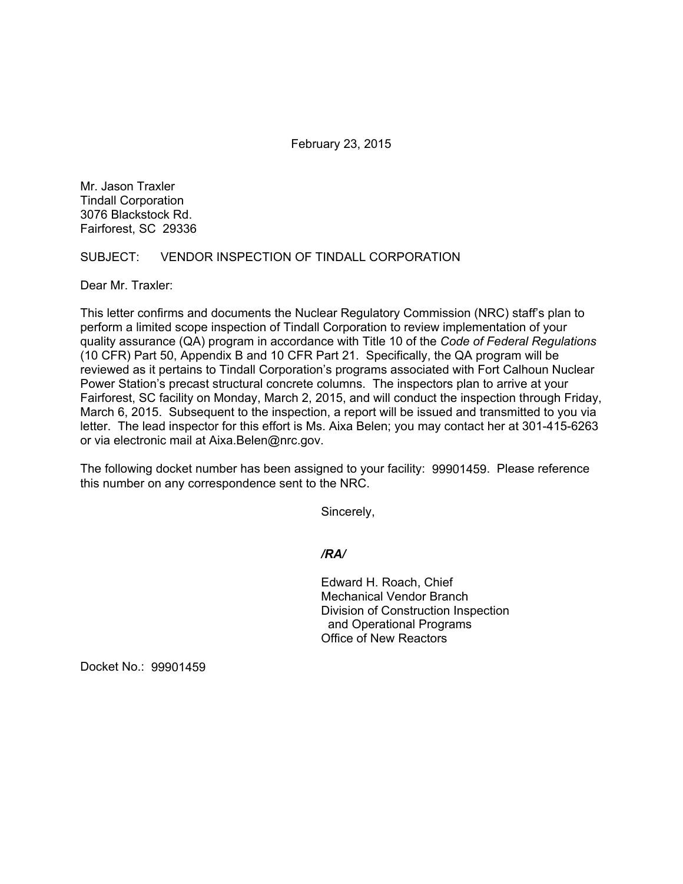February 23, 2015

Mr. Jason Traxler Tindall Corporation 3076 Blackstock Rd. Fairforest, SC 29336

#### SUBJECT: VENDOR INSPECTION OF TINDALL CORPORATION

Dear Mr. Traxler:

This letter confirms and documents the Nuclear Regulatory Commission (NRC) staff's plan to perform a limited scope inspection of Tindall Corporation to review implementation of your quality assurance (QA) program in accordance with Title 10 of the *Code of Federal Regulations*  (10 CFR) Part 50, Appendix B and 10 CFR Part 21. Specifically, the QA program will be reviewed as it pertains to Tindall Corporation's programs associated with Fort Calhoun Nuclear Power Station's precast structural concrete columns. The inspectors plan to arrive at your Fairforest, SC facility on Monday, March 2, 2015, and will conduct the inspection through Friday, March 6, 2015. Subsequent to the inspection, a report will be issued and transmitted to you via letter. The lead inspector for this effort is Ms. Aixa Belen; you may contact her at 301-415-6263 or via electronic mail at Aixa.Belen@nrc.gov.

The following docket number has been assigned to your facility: 99901459. Please reference this number on any correspondence sent to the NRC.

Sincerely,

*/RA/* 

 Edward H. Roach, Chief Mechanical Vendor Branch Division of Construction Inspection and Operational Programs Office of New Reactors

Docket No.: 99901459